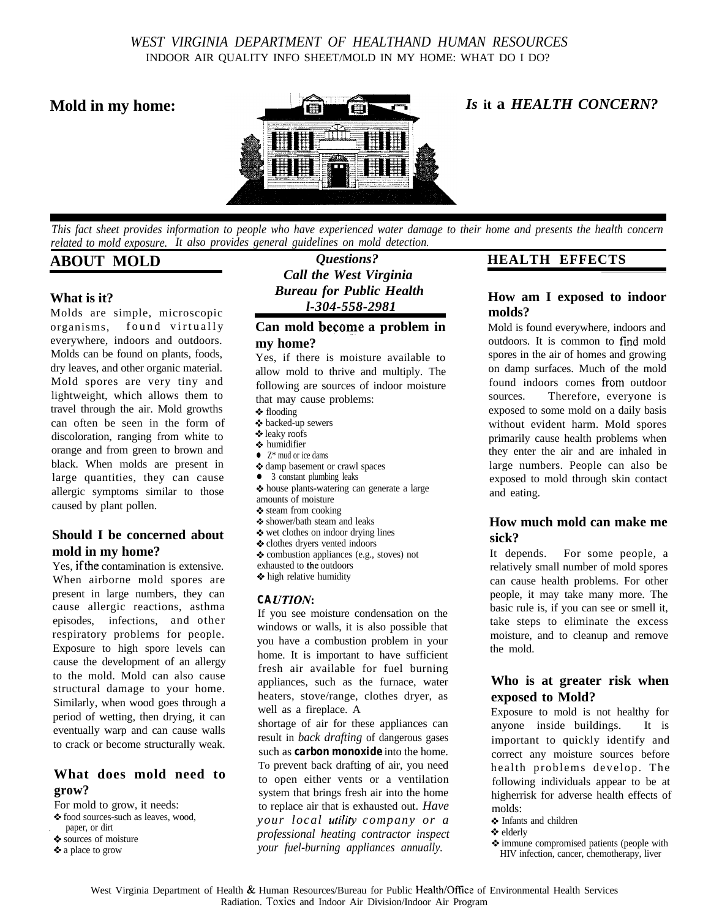## *WEST VIRGINIA DEPARTMENT OF HEALTHAND HUMAN RESOURCES* INDOOR AIR QUALITY INFO SHEET/MOLD IN MY HOME: WHAT DO I DO?



*This fact sheet provides information to people who have experienced water damage to their home and presents the health concern related to mold exposure. It also provides general guidelines on mold detection.*

# **ABOUT MOLD**

### **What is it?**

Molds are simple, microscopic organisms, found virtually everywhere, indoors and outdoors. Molds can be found on plants, foods, dry leaves, and other organic material. Mold spores are very tiny and lightweight, which allows them to travel through the air. Mold growths can often be seen in the form of discoloration, ranging from white to orange and from green to brown and black. When molds are present in large quantities, they can cause allergic symptoms similar to those caused by plant pollen.

### **Should I be concerned about mold in my home?**

Yes, ifthe contamination is extensive. When airborne mold spores are present in large numbers, they can cause allergic reactions, asthma episodes, infections, and other respiratory problems for people. Exposure to high spore levels can cause the development of an allergy to the mold. Mold can also cause structural damage to your home. Similarly, when wood goes through a period of wetting, then drying, it can eventually warp and can cause walls to crack or become structurally weak.

## **What does mold need to grow?**

For mold to grow, it needs:

 $\clubsuit$  food sources-such as leaves, wood, . paper, or dirt

- 9 sources of moisture
- \* a place to grow

*Questions? Call the West Virginia Bureau for Public Health l-304-558-2981*

#### **Can mold become a problem in my home?**

Yes, if there is moisture available to allow mold to thrive and multiply. The following are sources of indoor moisture that may cause problems:

- $\triangleleft$  flooding
- + backed-up sewers
- leaky roofs
- $\bullet$  humidifier
- $\bullet$  Z<sup>\*</sup> mud or ice dams  $\diamond$  damp basement or crawl spaces
- 
- 3 constant plumbing leaks
- $\bullet$  house plants-watering can generate a large amounts of moisture
- 4. steam from cooking
- 6 shower/bath steam and leaks
- $\bullet$  wet clothes on indoor drying lines
- + clothes dryers vented indoors
- combustion appliances (e.g., stoves) not
- exhausted to the outdoors
- $*$  high relative humidity

#### *CA UTION:*

If you see moisture condensation on the windows or walls, it is also possible that you have a combustion problem in your home. It is important to have sufficient fresh air available for fuel burning appliances, such as the furnace, water heaters, stove/range, clothes dryer, as well as a fireplace. A

shortage of air for these appliances can result in *back drafting* of dangerous gases such as *carbon monoxide* into the home. To prevent back drafting of air, you need to open either vents or a ventilation system that brings fresh air into the home to replace air that is exhausted out. *Have your local utility company or a professional heating contractor inspect your fuel-burning appliances annually.*

#### **HEALTH EFFECTS**

## **How am I exposed to indoor molds?**

Mold is found everywhere, indoors and outdoors. It is common to find mold spores in the air of homes and growing on damp surfaces. Much of the mold found indoors comes from outdoor sources. Therefore, everyone is exposed to some mold on a daily basis without evident harm. Mold spores primarily cause health problems when they enter the air and are inhaled in large numbers. People can also be exposed to mold through skin contact and eating.

### **How much mold can make me sick?**

It depends. For some people, a relatively small number of mold spores can cause health problems. For other people, it may take many more. The basic rule is, if you can see or smell it, take steps to eliminate the excess moisture, and to cleanup and remove the mold.

# **Who is at greater risk when exposed to Mold?**

Exposure to mold is not healthy for anyone inside buildings. It is important to quickly identify and correct any moisture sources before health problems develop. The following individuals appear to be at higherrisk for adverse health effects of molds:

- + Infants and children
- + elderly
- 4. immune compromised patients (people with HIV infection, cancer, chemotherapy, liver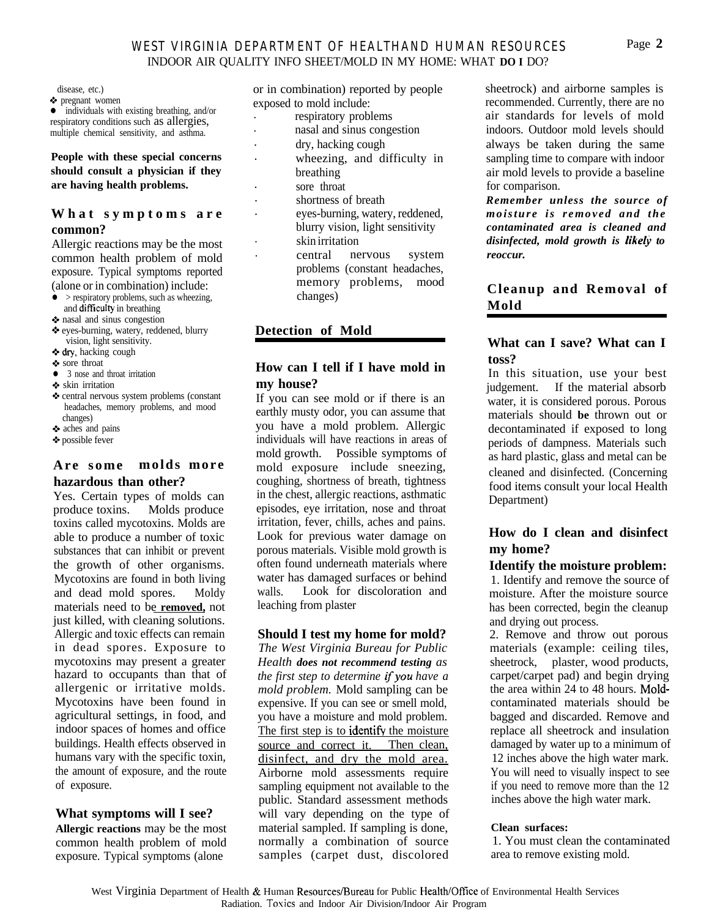### *WEST VIRGINIA DEPARTMENT OF HEALTHAND HUMAN RESOURCES* INDOOR AIR QUALITY INFO SHEET/MOLD IN MY HOME: WHAT **DO I** DO?

disease, etc.)

0 pregnant women  $\bullet$  individuals with existing breathing, and/or respiratory conditions such as allergies, multiple chemical sensitivity, and asthma.

**People with these special concerns should consult a physician if they are having health problems.**

#### **What symptoms are common?**

Allergic reactions may be the most common health problem of mold exposure. Typical symptoms reported (alone or in combination) include:

- $>$  respiratory problems, such as wheezing, and difficulty in breathing
- $\diamond$  nasal and sinus congestion
- \* eyes-burning, watery, reddened, blurry vision, light sensitivity.
- 4. dry, hacking cough
- sore throat
- 3 nose and throat irritation
- 9 skin irritation
- + central nervous system problems (constant headaches, memory problems, and mood changes)
- + aches and pains
- \* possible fever

#### **Are some molds more hazardous than other?**

Yes. Certain types of molds can produce toxins. Molds produce toxins called mycotoxins. Molds are able to produce a number of toxic substances that can inhibit or prevent the growth of other organisms. Mycotoxins are found in both living and dead mold spores. Moldy materials need to be **removed,** not just killed, with cleaning solutions. Allergic and toxic effects can remain in dead spores. Exposure to mycotoxins may present a greater hazard to occupants than that of allergenic or irritative molds. Mycotoxins have been found in agricultural settings, in food, and indoor spaces of homes and office buildings. Health effects observed in humans vary with the specific toxin, the amount of exposure, and the route of exposure.

## **What symptoms will I see?**

**Allergic reactions** may be the most common health problem of mold exposure. Typical symptoms (alone

or in combination) reported by people exposed to mold include:

- . respiratory problems
- . nasal and sinus congestion
- . dry, hacking cough
- . wheezing, and difficulty in breathing
- . sore throat
- . shortness of breath
- . eyes-burning, watery, reddened, blurry vision, light sensitivity
- . skin irritation
	- . central nervous system problems (constant headaches, memory problems, mood changes)

# **Detection of Mold**

## **How can I tell if I have mold in my house?**

If you can see mold or if there is an earthly musty odor, you can assume that you have a mold problem. Allergic individuals will have reactions in areas of mold growth. Possible symptoms of mold exposure include sneezing, coughing, shortness of breath, tightness in the chest, allergic reactions, asthmatic episodes, eye irritation, nose and throat irritation, fever, chills, aches and pains. Look for previous water damage on porous materials. Visible mold growth is often found underneath materials where water has damaged surfaces or behind walls. Look for discoloration and leaching from plaster

#### **Should I test my home for mold?**

*The West Virginia Bureau for Public Health does not recommend testing as the first step to determine fyou have a mold problem.* Mold sampling can be expensive. If you can see or smell mold, you have a moisture and mold problem. The first step is to identify the moisture source and correct it. Then clean, disinfect, and dry the mold area. Airborne mold assessments require sampling equipment not available to the public. Standard assessment methods will vary depending on the type of material sampled. If sampling is done, normally a combination of source samples (carpet dust, discolored

sheetrock) and airborne samples is recommended. Currently, there are no air standards for levels of mold indoors. Outdoor mold levels should always be taken during the same sampling time to compare with indoor air mold levels to provide a baseline for comparison.

*Remember unless the source of moisture is removed and the contaminated area is cleaned and disinfected, mold growth is likefj to reoccur.*

# **Cleanup and Removal of Mold**

# **What can I save? What can I toss?**

In this situation, use your best judgement. If the material absorb water, it is considered porous. Porous materials should **be** thrown out or decontaminated if exposed to long periods of dampness. Materials such as hard plastic, glass and metal can be cleaned and disinfected. (Concerning food items consult your local Health Department)

# **How do I clean and disinfect my home?**

#### **Identify the moisture problem:**

1. Identify and remove the source of moisture. After the moisture source has been corrected, begin the cleanup and drying out process.

2. Remove and throw out porous materials (example: ceiling tiles, sheetrock, plaster, wood products, carpet/carpet pad) and begin drying the area within 24 to 48 hours. Moldcontaminated materials should be bagged and discarded. Remove and replace all sheetrock and insulation damaged by water up to a minimum of 12 inches above the high water mark. You will need to visually inspect to see if you need to remove more than the 12 inches above the high water mark.

#### **Clean surfaces:**

1. You must clean the contaminated area to remove existing mold.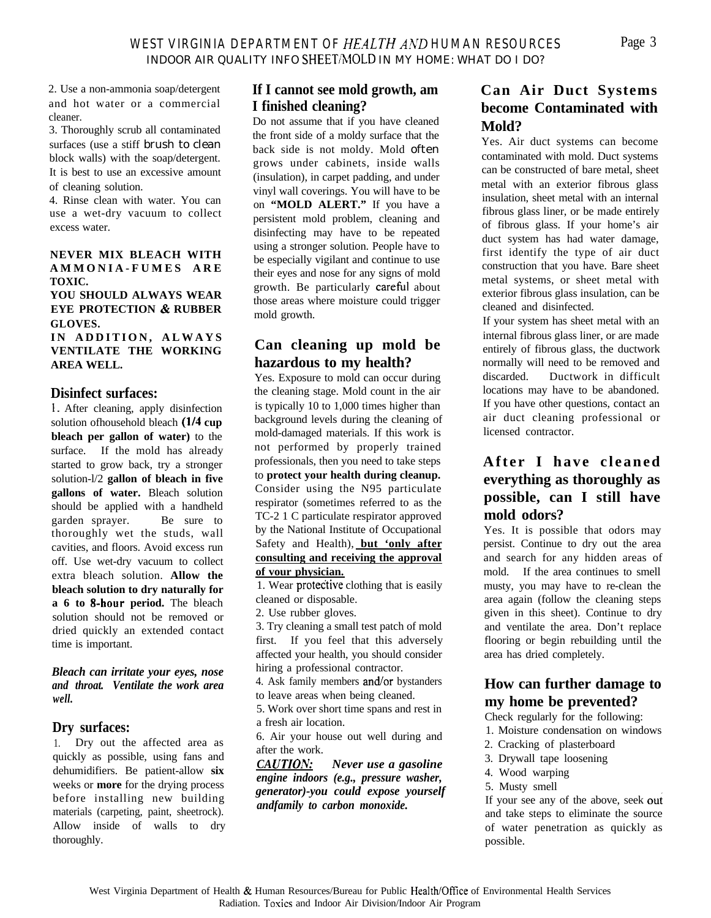2. Use a non-ammonia soap/detergent and hot water or a commercial cleaner.

3. Thoroughly scrub all contaminated surfaces (use a stiff brush to clean block walls) with the soap/detergent. It is best to use an excessive amount of cleaning solution.

4. Rinse clean with water. You can use a wet-dry vacuum to collect excess water.

### **NEVER MIX BLEACH WITH AMMONIA-FUMES ARE TOXIC.**

**YOU SHOULD ALWAYS WEAR EYE PROTECTION & RUBBER GLOVES.**

**IN ADDITION, ALWAYS VENTILATE THE WORKING AREA WELL.**

# **Disinfect surfaces:**

1. After cleaning, apply disinfection solution of household bleach (1/4 cup **bleach per gallon of water)** to the surface. If the mold has already started to grow back, try a stronger solution-l/2 **gallon of bleach in five gallons of water.** Bleach solution should be applied with a handheld garden sprayer. Be sure to thoroughly wet the studs, wall cavities, and floors. Avoid excess run off. Use wet-dry vacuum to collect extra bleach solution. **Allow the bleach solution to dry naturally for a 6 to &hour period.** The bleach solution should not be removed or dried quickly an extended contact time is important.

#### *Bleach can irritate your eyes, nose and throat. Ventilate the work area well.*

#### **Dry surfaces:**

1. Dry out the affected area as quickly as possible, using fans and dehumidifiers. Be patient-allow **six** weeks or **more** for the drying process before installing new building materials (carpeting, paint, sheetrock). Allow inside of walls to dry thoroughly.

# **If I cannot see mold growth, am I finished cleaning?**

Do not assume that if you have cleaned the front side of a moldy surface that the back side is not moldy. Mold often grows under cabinets, inside walls (insulation), in carpet padding, and under vinyl wall coverings. You will have to be on **"MOLD ALERT."** If you have a persistent mold problem, cleaning and disinfecting may have to be repeated using a stronger solution. People have to be especially vigilant and continue to use their eyes and nose for any signs of mold growth. Be particularly careful about those areas where moisture could trigger mold growth.

# **Can cleaning up mold be hazardous to my health?**

Yes. Exposure to mold can occur during the cleaning stage. Mold count in the air is typically 10 to 1,000 times higher than background levels during the cleaning of mold-damaged materials. If this work is not performed by properly trained professionals, then you need to take steps to **protect your health during cleanup.** Consider using the N95 particulate respirator (sometimes referred to as the TC-2 1 C particulate respirator approved by the National Institute of Occupational Safety and Health), **but 'only after consulting and receiving the approval of vour physician.**

1. Wear protective clothing that is easily cleaned or disposable.

2. Use rubber gloves.

3. Try cleaning a small test patch of mold first. If you feel that this adversely affected your health, you should consider hiring a professional contractor.

4. Ask family members and/or bystanders to leave areas when being cleaned.

5. Work over short time spans and rest in a fresh air location.

6. Air your house out well during and after the work.

*CA UTION: Never use a gasoline engine indoors (e.g., pressure washer, generator)-you could expose yourself andfamily to carbon monoxide.*

# **Can Air Duct Systems become Contaminated with Mold?**

Yes. Air duct systems can become contaminated with mold. Duct systems can be constructed of bare metal, sheet metal with an exterior fibrous glass insulation, sheet metal with an internal fibrous glass liner, or be made entirely of fibrous glass. If your home's air duct system has had water damage, first identify the type of air duct construction that you have. Bare sheet metal systems, or sheet metal with exterior fibrous glass insulation, can be cleaned and disinfected.

If your system has sheet metal with an internal fibrous glass liner, or are made entirely of fibrous glass, the ductwork normally will need to be removed and discarded. Ductwork in difficult locations may have to be abandoned. If you have other questions, contact an air duct cleaning professional or licensed contractor.

# **After I have cleaned everything as thoroughly as possible, can I still have mold odors?**

Yes. It is possible that odors may persist. Continue to dry out the area and search for any hidden areas of mold. If the area continues to smell musty, you may have to re-clean the area again (follow the cleaning steps given in this sheet). Continue to dry and ventilate the area. Don't replace flooring or begin rebuilding until the area has dried completely.

# **How can further damage to my home be prevented?**

Check regularly for the following:

- 1. Moisture condensation on windows
- 2. Cracking of plasterboard
- 3. Drywall tape loosening
- 4. Wood warping
- 5. Musty smell

If your see any of the above, seek out and take steps to eliminate the source of water penetration as quickly as possible.